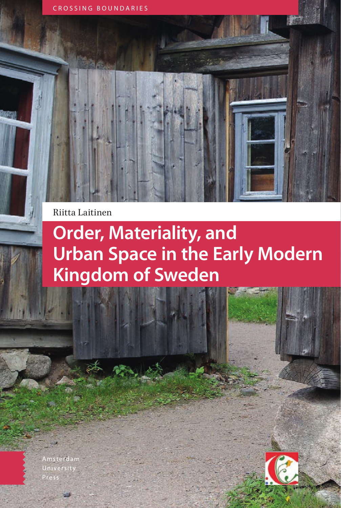CROSSING BOUNDARIES

Riitta Laitinen

# **Order, Materiality, and Urban Space in the Early Modern Kingdom of Sweden**

Amsterdam University

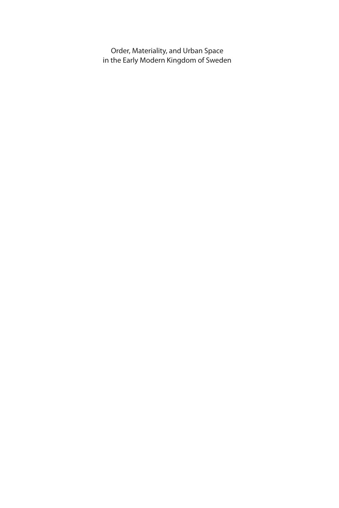Order, Materiality, and Urban Space in the Early Modern Kingdom of Sweden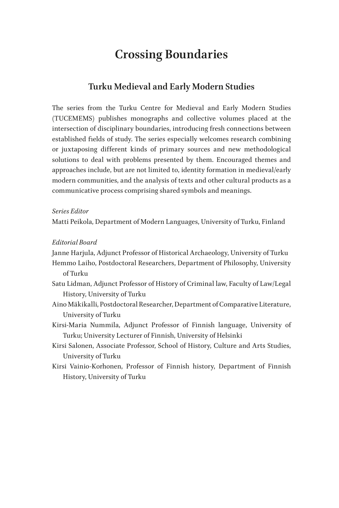### **Crossing Boundaries**

### **Turku Medieval and Early Modern Studies**

The series from the Turku Centre for Medieval and Early Modern Studies (TUCEMEMS) publishes monographs and collective volumes placed at the intersection of disciplinary boundaries, introducing fresh connections between established fields of study. The series especially welcomes research combining or juxtaposing different kinds of primary sources and new methodological solutions to deal with problems presented by them. Encouraged themes and approaches include, but are not limited to, identity formation in medieval/early modern communities, and the analysis of texts and other cultural products as a communicative process comprising shared symbols and meanings.

#### *Series Editor*

Matti Peikola, Department of Modern Languages, University of Turku, Finland

#### *Editorial Board*

Janne Harjula, Adjunct Professor of Historical Archaeology, University of Turku

- Hemmo Laiho, Postdoctoral Researchers, Department of Philosophy, University of Turku
- Satu Lidman, Adjunct Professor of History of Criminal law, Faculty of Law/Legal History, University of Turku
- Aino Mäkikalli, Postdoctoral Researcher, Department of Comparative Literature, University of Turku
- Kirsi-Maria Nummila, Adjunct Professor of Finnish language, University of Turku; University Lecturer of Finnish, University of Helsinki
- Kirsi Salonen, Associate Professor, School of History, Culture and Arts Studies, University of Turku
- Kirsi Vainio-Korhonen, Professor of Finnish history, Department of Finnish History, University of Turku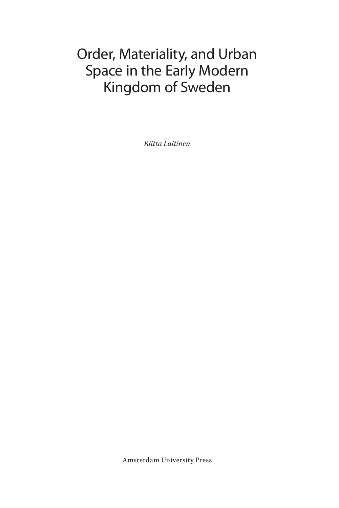# Order, Materiality, and Urban Space in the Early Modern Kingdom of Sweden

*Riitta Laitinen*

Amsterdam University Press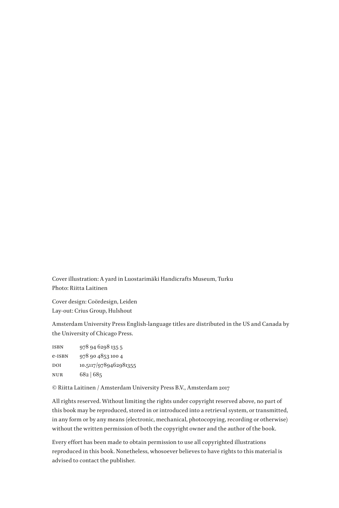Cover illustration: A yard in Luostarimäki Handicrafts Museum, Turku Photo: Riitta Laitinen

Cover design: Coördesign, Leiden Lay-out: Crius Group, Hulshout

Amsterdam University Press English-language titles are distributed in the US and Canada by the University of Chicago Press.

| ISBN   | 978 94 6298 1355      |
|--------|-----------------------|
| e-ISBN | 978 90 4853 100 4     |
| DOI    | 10.5117/9789462981355 |
| NUR    | 682 685               |

© Riitta Laitinen / Amsterdam University Press B.V., Amsterdam 2017

All rights reserved. Without limiting the rights under copyright reserved above, no part of this book may be reproduced, stored in or introduced into a retrieval system, or transmitted, in any form or by any means (electronic, mechanical, photocopying, recording or otherwise) without the written permission of both the copyright owner and the author of the book.

Every effort has been made to obtain permission to use all copyrighted illustrations reproduced in this book. Nonetheless, whosoever believes to have rights to this material is advised to contact the publisher.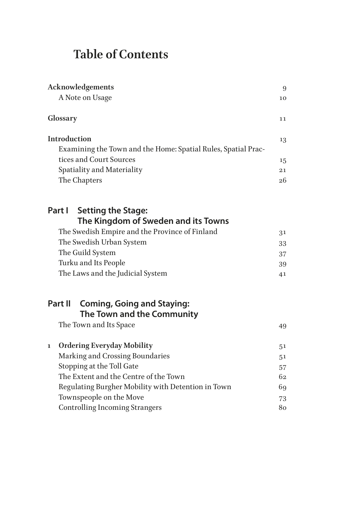## **Table of Contents**

| Acknowledgements<br>A Note on Usage                                                                                                                                          |                |  |
|------------------------------------------------------------------------------------------------------------------------------------------------------------------------------|----------------|--|
| Glossary                                                                                                                                                                     | 11             |  |
| Introduction<br>Examining the Town and the Home: Spatial Rules, Spatial Prac-<br>tices and Court Sources                                                                     | 13<br>15       |  |
| Spatiality and Materiality                                                                                                                                                   | 21             |  |
| The Chapters                                                                                                                                                                 | 26             |  |
| Part I<br><b>Setting the Stage:</b><br>The Kingdom of Sweden and its Towns<br>The Swedish Empire and the Province of Finland<br>The Swedish Urban System<br>The Guild System | 31<br>33<br>37 |  |
| Turku and Its People                                                                                                                                                         | 39             |  |
| The Laws and the Judicial System                                                                                                                                             | 41             |  |
| Part II<br><b>Coming, Going and Staying:</b><br>The Town and the Community<br>The Town and Its Space                                                                         | 49             |  |
| <b>Ordering Everyday Mobility</b><br>1                                                                                                                                       | 51             |  |
| Marking and Crossing Boundaries                                                                                                                                              | 51             |  |
| Stopping at the Toll Gate                                                                                                                                                    | 57             |  |
| The Extent and the Centre of the Town                                                                                                                                        | 62             |  |
| Regulating Burgher Mobility with Detention in Town                                                                                                                           | 69             |  |
| Townspeople on the Move                                                                                                                                                      | 73             |  |
| <b>Controlling Incoming Strangers</b>                                                                                                                                        | 80             |  |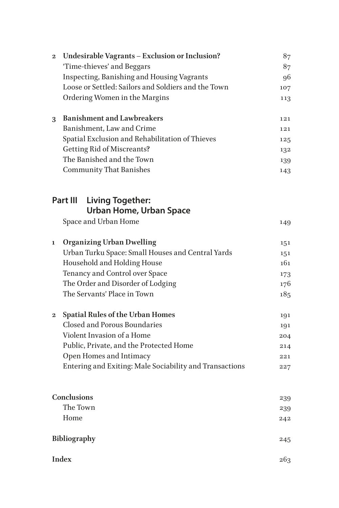| $\mathbf{2}$ | Undesirable Vagrants - Exclusion or Inclusion?<br>'Time-thieves' and Beggars | 87<br>87 |
|--------------|------------------------------------------------------------------------------|----------|
|              | Inspecting, Banishing and Housing Vagrants                                   | 96       |
|              | Loose or Settled: Sailors and Soldiers and the Town                          | 107      |
|              | Ordering Women in the Margins                                                | 113      |
| 3            | <b>Banishment and Lawbreakers</b>                                            | 121      |
|              | Banishment, Law and Crime                                                    | 121      |
|              | Spatial Exclusion and Rehabilitation of Thieves                              | 125      |
|              | <b>Getting Rid of Miscreants?</b>                                            | 132      |
|              | The Banished and the Town                                                    | 139      |
|              | <b>Community That Banishes</b>                                               | 143      |
|              | Part III Living Together:                                                    |          |
|              | <b>Urban Home, Urban Space</b>                                               |          |
|              | Space and Urban Home                                                         | 149      |
| 1            | <b>Organizing Urban Dwelling</b>                                             | 151      |
|              | Urban Turku Space: Small Houses and Central Yards                            | 151      |
|              | Household and Holding House                                                  | 161      |
|              | Tenancy and Control over Space                                               | 173      |
|              | The Order and Disorder of Lodging                                            | 176      |
|              | The Servants' Place in Town                                                  | 185      |
| $\bf{2}$     | <b>Spatial Rules of the Urban Homes</b>                                      | 191      |
|              | <b>Closed and Porous Boundaries</b>                                          | 191      |
|              | Violent Invasion of a Home                                                   | 204      |
|              | Public, Private, and the Protected Home                                      | 214      |
|              | Open Homes and Intimacy                                                      | 221      |
|              | Entering and Exiting: Male Sociability and Transactions                      | 227      |
|              | Conclusions                                                                  | 239      |
|              | The Town                                                                     | 239      |
|              | Home                                                                         | 242      |
|              | Bibliography                                                                 | 245      |
|              | <b>Index</b>                                                                 | 263      |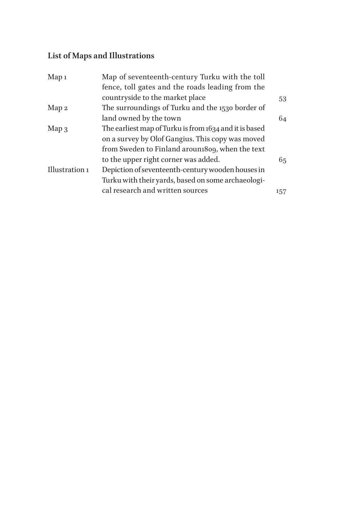### **List of Maps and Illustrations**

| Map <sub>1</sub> | Map of seventeenth-century Turku with the toll         |     |
|------------------|--------------------------------------------------------|-----|
|                  | fence, toll gates and the roads leading from the       |     |
|                  | countryside to the market place                        | 53  |
| Map 2            | The surroundings of Turku and the 1530 border of       |     |
|                  | land owned by the town                                 | 64  |
| $Map_3$          | The earliest map of Turku is from 1634 and it is based |     |
|                  | on a survey by Olof Gangius. This copy was moved       |     |
|                  | from Sweden to Finland arouni809, when the text        |     |
|                  | to the upper right corner was added.                   | 65  |
| Illustration 1   | Depiction of seventeenth-century wooden houses in      |     |
|                  | Turku with their yards, based on some archaeologi-     |     |
|                  | cal research and written sources                       | 157 |
|                  |                                                        |     |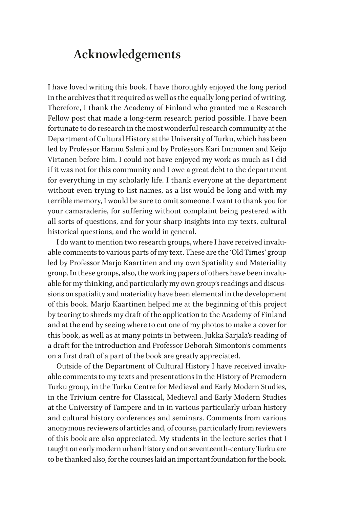### <span id="page-8-0"></span>**Acknowledgements**

I have loved writing this book. I have thoroughly enjoyed the long period in the archives that it required as well as the equally long period of writing. Therefore, I thank the Academy of Finland who granted me a Research Fellow post that made a long-term research period possible. I have been fortunate to do research in the most wonderful research community at the Department of Cultural History at the University of Turku, which has been led by Professor Hannu Salmi and by Professors Kari Immonen and Keijo Virtanen before him. I could not have enjoyed my work as much as I did if it was not for this community and I owe a great debt to the department for everything in my scholarly life. I thank everyone at the department without even trying to list names, as a list would be long and with my terrible memory, I would be sure to omit someone. I want to thank you for your camaraderie, for suffering without complaint being pestered with all sorts of questions, and for your sharp insights into my texts, cultural historical questions, and the world in general.

I do want to mention two research groups, where I have received invaluable comments to various parts of my text. These are the 'Old Times' group led by Professor Marjo Kaartinen and my own Spatiality and Materiality group. In these groups, also, the working papers of others have been invaluable for my thinking, and particularly my own group's readings and discussions on spatiality and materiality have been elemental in the development of this book. Marjo Kaartinen helped me at the beginning of this project by tearing to shreds my draft of the application to the Academy of Finland and at the end by seeing where to cut one of my photos to make a cover for this book, as well as at many points in between. Jukka Sarjala's reading of a draft for the introduction and Professor Deborah Simonton's comments on a first draft of a part of the book are greatly appreciated.

Outside of the Department of Cultural History I have received invaluable comments to my texts and presentations in the History of Premodern Turku group, in the Turku Centre for Medieval and Early Modern Studies, in the Trivium centre for Classical, Medieval and Early Modern Studies at the University of Tampere and in in various particularly urban history and cultural history conferences and seminars. Comments from various anonymous reviewers of articles and, of course, particularly from reviewers of this book are also appreciated. My students in the lecture series that I taught on early modern urban history and on seventeenth-century Turku are to be thanked also, for the courses laid an important foundation for the book.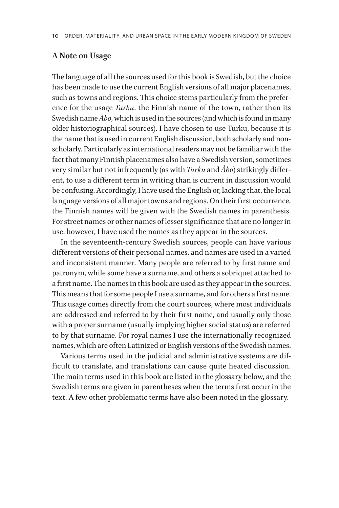#### <span id="page-9-0"></span>**A Note on Usage**

The language of all the sources used for this book is Swedish, but the choice has been made to use the current English versions of all major placenames, such as towns and regions. This choice stems particularly from the preference for the usage *Turku*, the Finnish name of the town, rather than its Swedish name *Åbo*, which is used in the sources (and which is found in many older historiographical sources). I have chosen to use Turku, because it is the name that is used in current English discussion, both scholarly and nonscholarly. Particularly as international readers may not be familiar with the fact that many Finnish placenames also have a Swedish version, sometimes very similar but not infrequently (as with *Turku* and *Åbo*) strikingly different, to use a different term in writing than is current in discussion would be confusing. Accordingly, I have used the English or, lacking that, the local language versions of all major towns and regions. On their first occurrence, the Finnish names will be given with the Swedish names in parenthesis. For street names or other names of lesser significance that are no longer in use, however, I have used the names as they appear in the sources.

In the seventeenth-century Swedish sources, people can have various different versions of their personal names, and names are used in a varied and inconsistent manner. Many people are referred to by first name and patronym, while some have a surname, and others a sobriquet attached to a first name. The names in this book are used as they appear in the sources. This means that for some people I use a surname, and for others a first name. This usage comes directly from the court sources, where most individuals are addressed and referred to by their first name, and usually only those with a proper surname (usually implying higher social status) are referred to by that surname. For royal names I use the internationally recognized names, which are often Latinized or English versions of the Swedish names.

Various terms used in the judicial and administrative systems are difficult to translate, and translations can cause quite heated discussion. The main terms used in this book are listed in the glossary below, and the Swedish terms are given in parentheses when the terms first occur in the text. A few other problematic terms have also been noted in the glossary.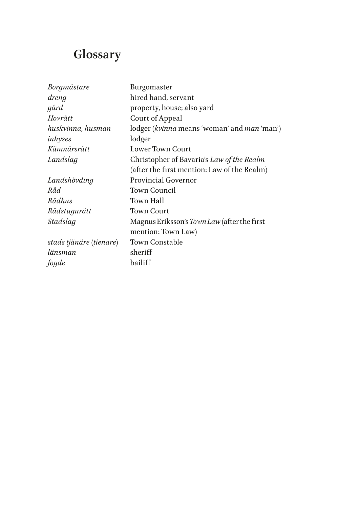# <span id="page-10-0"></span>**Glossary**

| Borgmästare             | Burgomaster                                 |
|-------------------------|---------------------------------------------|
| dreng                   | hired hand, servant                         |
| gård                    | property, house; also yard                  |
| Hovrätt                 | Court of Appeal                             |
| huskvinna, husman       | lodger (kvinna means 'woman' and man 'man') |
| inhyses                 | lodger                                      |
| Kämnärsrätt             | Lower Town Court                            |
| Landslag                | Christopher of Bavaria's Law of the Realm   |
|                         | (after the first mention: Law of the Realm) |
| Landshövding            | <b>Provincial Governor</b>                  |
| Råd.                    | <b>Town Council</b>                         |
| Rådhus                  | Town Hall                                   |
| Rådstugurätt            | Town Court                                  |
| Stadslag                | Magnus Eriksson's Town Law (after the first |
|                         | mention: Town Law)                          |
| stads tjänäre (tienare) | <b>Town Constable</b>                       |
| länsman                 | sheriff                                     |
| fogde                   | bailiff                                     |
|                         |                                             |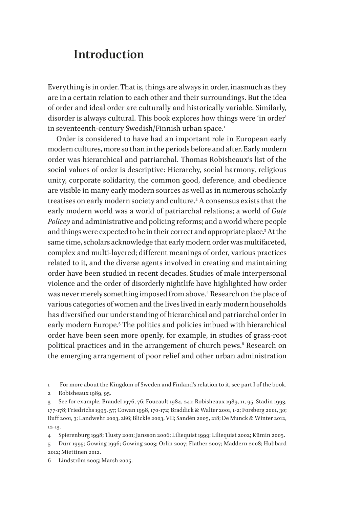### <span id="page-11-0"></span>**Introduction**

Everything is in order. That is, things are always in order, inasmuch as they are in a certain relation to each other and their surroundings. But the idea of order and ideal order are culturally and historically variable. Similarly, disorder is always cultural. This book explores how things were 'in order' in seventeenth-century Swedish/Finnish urban space.<sup>1</sup>

Order is considered to have had an important role in European early modern cultures, more so than in the periods before and after. Early modern order was hierarchical and patriarchal. Thomas Robisheaux's list of the social values of order is descriptive: Hierarchy, social harmony, religious unity, corporate solidarity, the common good, deference, and obedience are visible in many early modern sources as well as in numerous scholarly treatises on early modern society and culture.2 A consensus exists that the early modern world was a world of patriarchal relations; a world of *Gute Policey* and administrative and policing reforms; and a world where people and things were expected to be in their correct and appropriate place.3 At the same time, scholars acknowledge that early modern order was multifaceted, complex and multi-layered; different meanings of order, various practices related to it, and the diverse agents involved in creating and maintaining order have been studied in recent decades. Studies of male interpersonal violence and the order of disorderly nightlife have highlighted how order was never merely something imposed from above.4 Research on the place of various categories of women and the lives lived in early modern households has diversified our understanding of hierarchical and patriarchal order in early modern Europe.5 The politics and policies imbued with hierarchical order have been seen more openly, for example, in studies of grass-root political practices and in the arrangement of church pews. $^6$  Research on the emerging arrangement of poor relief and other urban administration

1 For more about the Kingdom of Sweden and Finland's relation to it, see part I of the book.

2 Robisheaux 1989, 95.

3 See for example, Braudel 1976, 76; Foucault 1984, 241; Robisheaux 1989, 11, 95; Stadin 1993, 177-178; Friedrichs 1995, 57; Cowan 1998, 170-172; Braddick & Walter 2001, 1-2; Forsberg 2001, 30; Ruff 2001, 3; Landwehr 2003, 286; Blickle 2003, VII; Sandén 2005, 218; De Munck & Winter 2012, 12-13.

4 Spierenburg 1998; Tlusty 2001; Jansson 2006; Liliequist 1999; Liliequist 2002; Kümin 2005.

5 Dürr 1995; Gowing 1996; Gowing 2003; Orlin 2007; Flather 2007; Maddern 2008; Hubbard 2012; Miettinen 2012.

6 Lindström 2005; Marsh 2005.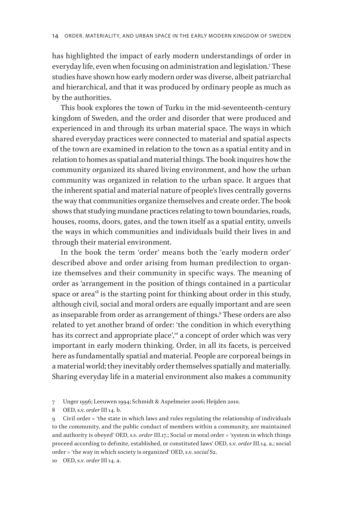has highlighted the impact of early modern understandings of order in everyday life, even when focusing on administration and legislation.7 These studies have shown how early modern order was diverse, albeit patriarchal and hierarchical, and that it was produced by ordinary people as much as by the authorities.

This book explores the town of Turku in the mid-seventeenth-century kingdom of Sweden, and the order and disorder that were produced and experienced in and through its urban material space. The ways in which shared everyday practices were connected to material and spatial aspects of the town are examined in relation to the town as a spatial entity and in relation to homes as spatial and material things. The book inquires how the community organized its shared living environment, and how the urban community was organized in relation to the urban space. It argues that the inherent spatial and material nature of people's lives centrally governs the way that communities organize themselves and create order. The book shows that studying mundane practices relating to town boundaries, roads, houses, rooms, doors, gates, and the town itself as a spatial entity, unveils the ways in which communities and individuals build their lives in and through their material environment.

In the book the term 'order' means both the 'early modern order' described above and order arising from human predilection to organize themselves and their community in specific ways. The meaning of order as 'arrangement in the position of things contained in a particular space or area'8 is the starting point for thinking about order in this study, although civil, social and moral orders are equally important and are seen as inseparable from order as arrangement of things.9 These orders are also related to yet another brand of order: 'the condition in which everything has its correct and appropriate place',<sup>10</sup> a concept of order which was very important in early modern thinking. Order, in all its facets, is perceived here as fundamentally spatial and material. People are corporeal beings in a material world; they inevitably order themselves spatially and materially. Sharing everyday life in a material environment also makes a community

<sup>7</sup> Unger 1996; Leeuwen 1994; Schmidt & Aspelmeier 2006; Heijden 2010.

<sup>8</sup> OED, s.v. *order* III 14. b.

<sup>9</sup> Civil order = 'the state in which laws and rules regulating the relationship of individuals to the community, and the public conduct of members within a community, are maintained and authority is obeyed' OED, s.v. *order* III.17.; Social or moral order = 'system in which things proceed according to definite, established, or constituted laws' OED, s.v. *order* III.14. a.; social order = 'the way in which society is organized' OED, s.v. *social* S2.

<sup>10</sup> OED, s.v. *order* III 14. a.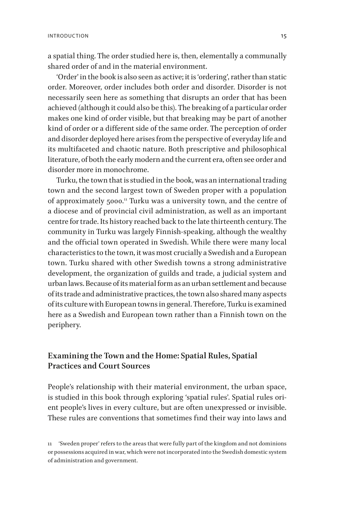<span id="page-13-0"></span>a spatial thing. The order studied here is, then, elementally a communally shared order of and in the material environment.

'Order' in the book is also seen as active; it is 'ordering', rather than static order. Moreover, order includes both order and disorder. Disorder is not necessarily seen here as something that disrupts an order that has been achieved (although it could also be this). The breaking of a particular order makes one kind of order visible, but that breaking may be part of another kind of order or a different side of the same order. The perception of order and disorder deployed here arises from the perspective of everyday life and its multifaceted and chaotic nature. Both prescriptive and philosophical literature, of both the early modern and the current era, often see order and disorder more in monochrome.

Turku, the town that is studied in the book, was an international trading town and the second largest town of Sweden proper with a population of approximately 5000.<sup>11</sup> Turku was a university town, and the centre of a diocese and of provincial civil administration, as well as an important centre for trade. Its history reached back to the late thirteenth century. The community in Turku was largely Finnish-speaking, although the wealthy and the official town operated in Swedish. While there were many local characteristics to the town, it was most crucially a Swedish and a European town. Turku shared with other Swedish towns a strong administrative development, the organization of guilds and trade, a judicial system and urban laws. Because of its material form as an urban settlement and because of its trade and administrative practices, the town also shared many aspects of its culture with European towns in general. Therefore, Turku is examined here as a Swedish and European town rather than a Finnish town on the periphery.

### **Examining the Town and the Home: Spatial Rules, Spatial Practices and Court Sources**

People's relationship with their material environment, the urban space, is studied in this book through exploring 'spatial rules'. Spatial rules orient people's lives in every culture, but are often unexpressed or invisible. These rules are conventions that sometimes find their way into laws and

<sup>11</sup> 'Sweden proper' refers to the areas that were fully part of the kingdom and not dominions or possessions acquired in war, which were not incorporated into the Swedish domestic system of administration and government.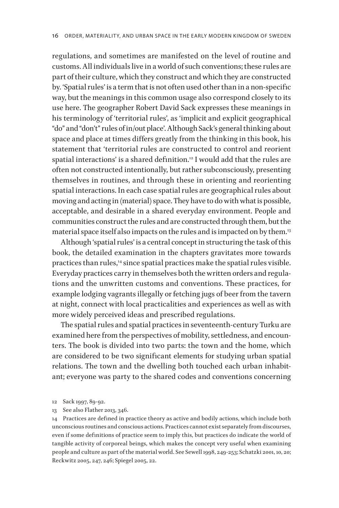regulations, and sometimes are manifested on the level of routine and customs. All individuals live in a world of such conventions; these rules are part of their culture, which they construct and which they are constructed by. 'Spatial rules' is a term that is not often used other than in a non-specific way, but the meanings in this common usage also correspond closely to its use here. The geographer Robert David Sack expresses these meanings in his terminology of 'territorial rules', as 'implicit and explicit geographical "do" and "don't" rules of in/out place'. Although Sack's general thinking about space and place at times differs greatly from the thinking in this book, his statement that 'territorial rules are constructed to control and reorient spatial interactions' is a shared definition.<sup>12</sup> I would add that the rules are often not constructed intentionally, but rather subconsciously, presenting themselves in routines, and through these in orienting and reorienting spatial interactions. In each case spatial rules are geographical rules about moving and acting in (material) space. They have to do with what is possible, acceptable, and desirable in a shared everyday environment. People and communities construct the rules and are constructed through them, but the material space itself also impacts on the rules and is impacted on by them.13

Although 'spatial rules' is a central concept in structuring the task of this book, the detailed examination in the chapters gravitates more towards practices than rules,<sup>14</sup> since spatial practices make the spatial rules visible. Everyday practices carry in themselves both the written orders and regulations and the unwritten customs and conventions. These practices, for example lodging vagrants illegally or fetching jugs of beer from the tavern at night, connect with local practicalities and experiences as well as with more widely perceived ideas and prescribed regulations.

The spatial rules and spatial practices in seventeenth-century Turku are examined here from the perspectives of mobility, settledness, and encounters. The book is divided into two parts: the town and the home, which are considered to be two significant elements for studying urban spatial relations. The town and the dwelling both touched each urban inhabitant; everyone was party to the shared codes and conventions concerning

13 See also Flather 2013, 346.

14 Practices are defined in practice theory as active and bodily actions, which include both unconscious routines and conscious actions. Practices cannot exist separately from discourses, even if some definitions of practice seem to imply this, but practices do indicate the world of tangible activity of corporeal beings, which makes the concept very useful when examining people and culture as part of the material world. See Sewell 1998, 249-253; Schatzki 2001, 10, 20; Reckwitz 2005, 247, 246; Spiegel 2005, 22.

<sup>12</sup> Sack 1997, 89-92.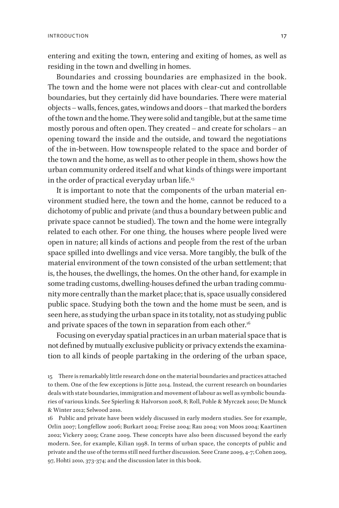entering and exiting the town, entering and exiting of homes, as well as residing in the town and dwelling in homes.

Boundaries and crossing boundaries are emphasized in the book. The town and the home were not places with clear-cut and controllable boundaries, but they certainly did have boundaries. There were material objects – walls, fences, gates, windows and doors – that marked the borders of the town and the home. They were solid and tangible, but at the same time mostly porous and often open. They created – and create for scholars – an opening toward the inside and the outside, and toward the negotiations of the in-between. How townspeople related to the space and border of the town and the home, as well as to other people in them, shows how the urban community ordered itself and what kinds of things were important in the order of practical everyday urban life.<sup>15</sup>

It is important to note that the components of the urban material environment studied here, the town and the home, cannot be reduced to a dichotomy of public and private (and thus a boundary between public and private space cannot be studied). The town and the home were integrally related to each other. For one thing, the houses where people lived were open in nature; all kinds of actions and people from the rest of the urban space spilled into dwellings and vice versa. More tangibly, the bulk of the material environment of the town consisted of the urban settlement; that is, the houses, the dwellings, the homes. On the other hand, for example in some trading customs, dwelling-houses defined the urban trading community more centrally than the market place; that is, space usually considered public space. Studying both the town and the home must be seen, and is seen here, as studying the urban space in its totality, not as studying public and private spaces of the town in separation from each other.<sup>16</sup>

Focusing on everyday spatial practices in an urban material space that is not defined by mutually exclusive publicity or privacy extends the examination to all kinds of people partaking in the ordering of the urban space,

16 Public and private have been widely discussed in early modern studies. See for example, Orlin 2007; Longfellow 2006; Burkart 2004; Freise 2004; Rau 2004; von Moos 2004; Kaartinen 2002; Vickery 2009; Crane 2009. These concepts have also been discussed beyond the early modern. See, for example, Kilian 1998. In terms of urban space, the concepts of public and private and the use of the terms still need further discussion. Seee Crane 2009, 4-7; Cohen 2009, 97, Hohti 2010, 373-374; and the discussion later in this book.

<sup>15</sup> There is remarkably little research done on the material boundaries and practices attached to them. One of the few exceptions is Jütte 2014. Instead, the current research on boundaries deals with state boundaries, immigration and movement of labour as well as symbolic boundaries of various kinds. See Spierling & Halvorson 2008, 8; Roll, Pohle & Myrczek 2010; De Munck & Winter 2012; Selwood 2010.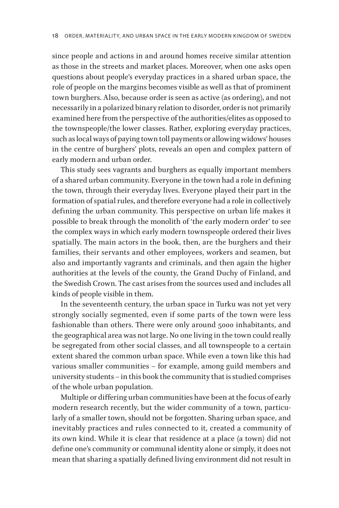since people and actions in and around homes receive similar attention as those in the streets and market places. Moreover, when one asks open questions about people's everyday practices in a shared urban space, the role of people on the margins becomes visible as well as that of prominent town burghers. Also, because order is seen as active (as ordering), and not necessarily in a polarized binary relation to disorder, order is not primarily examined here from the perspective of the authorities/elites as opposed to the townspeople/the lower classes. Rather, exploring everyday practices, such as local ways of paying town toll payments or allowing widows' houses in the centre of burghers' plots, reveals an open and complex pattern of early modern and urban order.

This study sees vagrants and burghers as equally important members of a shared urban community. Everyone in the town had a role in defining the town, through their everyday lives. Everyone played their part in the formation of spatial rules, and therefore everyone had a role in collectively defining the urban community. This perspective on urban life makes it possible to break through the monolith of 'the early modern order' to see the complex ways in which early modern townspeople ordered their lives spatially. The main actors in the book, then, are the burghers and their families, their servants and other employees, workers and seamen, but also and importantly vagrants and criminals, and then again the higher authorities at the levels of the county, the Grand Duchy of Finland, and the Swedish Crown. The cast arises from the sources used and includes all kinds of people visible in them.

In the seventeenth century, the urban space in Turku was not yet very strongly socially segmented, even if some parts of the town were less fashionable than others. There were only around 5000 inhabitants, and the geographical area was not large. No one living in the town could really be segregated from other social classes, and all townspeople to a certain extent shared the common urban space. While even a town like this had various smaller communities – for example, among guild members and university students – in this book the community that is studied comprises of the whole urban population.

Multiple or differing urban communities have been at the focus of early modern research recently, but the wider community of a town, particularly of a smaller town, should not be forgotten. Sharing urban space, and inevitably practices and rules connected to it, created a community of its own kind. While it is clear that residence at a place (a town) did not define one's community or communal identity alone or simply, it does not mean that sharing a spatially defined living environment did not result in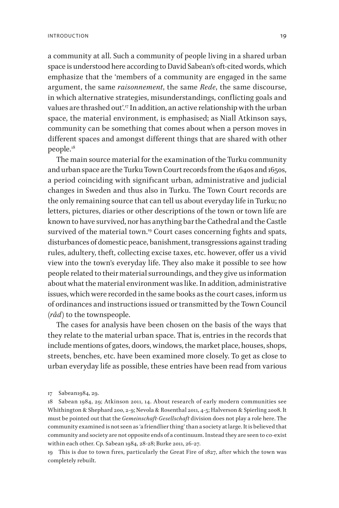a community at all. Such a community of people living in a shared urban space is understood here according to David Sabean's oft-cited words, which emphasize that the 'members of a community are engaged in the same argument, the same *raisonnement*, the same *Rede*, the same discourse, in which alternative strategies, misunderstandings, conflicting goals and values are thrashed out'.<sup>17</sup> In addition, an active relationship with the urban space, the material environment, is emphasised; as Niall Atkinson says, community can be something that comes about when a person moves in different spaces and amongst different things that are shared with other people.18

The main source material for the examination of the Turku community and urban space are the Turku Town Court records from the 1640s and 1650s, a period coinciding with significant urban, administrative and judicial changes in Sweden and thus also in Turku. The Town Court records are the only remaining source that can tell us about everyday life in Turku; no letters, pictures, diaries or other descriptions of the town or town life are known to have survived, nor has anything bar the Cathedral and the Castle survived of the material town.<sup>19</sup> Court cases concerning fights and spats, disturbances of domestic peace, banishment, transgressions against trading rules, adultery, theft, collecting excise taxes, etc. however, offer us a vivid view into the town's everyday life. They also make it possible to see how people related to their material surroundings, and they give us information about what the material environment was like. In addition, administrative issues, which were recorded in the same books as the court cases, inform us of ordinances and instructions issued or transmitted by the Town Council *(råd)* to the townspeople.

The cases for analysis have been chosen on the basis of the ways that they relate to the material urban space. That is, entries in the records that include mentions of gates, doors, windows, the market place, houses, shops, streets, benches, etc. have been examined more closely. To get as close to urban everyday life as possible, these entries have been read from various

19 This is due to town fires, particularly the Great Fire of  $1827$ , after which the town was completely rebuilt.

<sup>17</sup> Sabean1984, 29.

<sup>18</sup> Sabean 1984, 29; Atkinson 2011, 14. About research of early modern communities see Whithington & Shephard 200, 2-9; Nevola & Rosenthal 2011, 4-5; Halverson & Spierling 2008. It must be pointed out that the *Gemeinschaft*-*Gesellschaft* division does not play a role here. The community examined is not seen as 'a friendlier thing' than a society at large. It is believed that community and society are not opposite ends of a continuum. Instead they are seen to co-exist within each other. Cp. Sabean 1984, 28-28; Burke 2011, 26-27.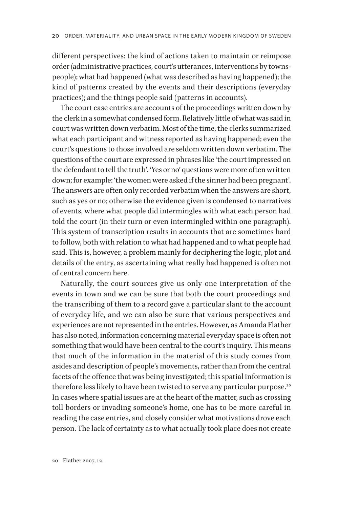different perspectives: the kind of actions taken to maintain or reimpose order (administrative practices, court's utterances, interventions by townspeople); what had happened (what was described as having happened); the kind of patterns created by the events and their descriptions (everyday practices); and the things people said (patterns in accounts).

The court case entries are accounts of the proceedings written down by the clerk in a somewhat condensed form. Relatively little of what was said in court was written down verbatim. Most of the time, the clerks summarized what each participant and witness reported as having happened; even the court's questions to those involved are seldom written down verbatim. The questions of the court are expressed in phrases like 'the court impressed on the defendant to tell the truth'. 'Yes or no' questions were more often written down; for example: 'the women were asked if the sinner had been pregnant'. The answers are often only recorded verbatim when the answers are short, such as yes or no; otherwise the evidence given is condensed to narratives of events, where what people did intermingles with what each person had told the court (in their turn or even intermingled within one paragraph). This system of transcription results in accounts that are sometimes hard to follow, both with relation to what had happened and to what people had said. This is, however, a problem mainly for deciphering the logic, plot and details of the entry, as ascertaining what really had happened is often not of central concern here.

Naturally, the court sources give us only one interpretation of the events in town and we can be sure that both the court proceedings and the transcribing of them to a record gave a particular slant to the account of everyday life, and we can also be sure that various perspectives and experiences are not represented in the entries. However, as Amanda Flather has also noted, information concerning material everyday space is often not something that would have been central to the court's inquiry. This means that much of the information in the material of this study comes from asides and description of people's movements, rather than from the central facets of the offence that was being investigated; this spatial information is therefore less likely to have been twisted to serve any particular purpose.<sup>20</sup> In cases where spatial issues are at the heart of the matter, such as crossing toll borders or invading someone's home, one has to be more careful in reading the case entries, and closely consider what motivations drove each person. The lack of certainty as to what actually took place does not create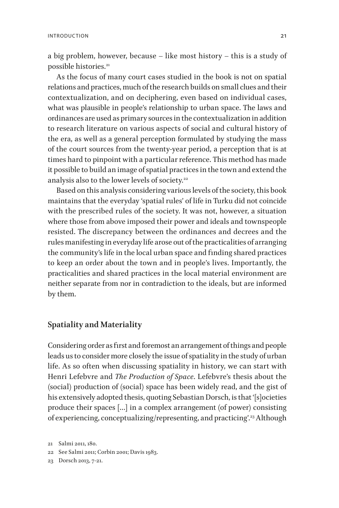<span id="page-19-0"></span>a big problem, however, because – like most history – this is a study of possible histories.<sup>21</sup>

As the focus of many court cases studied in the book is not on spatial relations and practices, much of the research builds on small clues and their contextualization, and on deciphering, even based on individual cases, what was plausible in people's relationship to urban space. The laws and ordinances are used as primary sources in the contextualization in addition to research literature on various aspects of social and cultural history of the era, as well as a general perception formulated by studying the mass of the court sources from the twenty-year period, a perception that is at times hard to pinpoint with a particular reference. This method has made it possible to build an image of spatial practices in the town and extend the analysis also to the lower levels of society.<sup>22</sup>

Based on this analysis considering various levels of the society, this book maintains that the everyday 'spatial rules' of life in Turku did not coincide with the prescribed rules of the society. It was not, however, a situation where those from above imposed their power and ideals and townspeople resisted. The discrepancy between the ordinances and decrees and the rules manifesting in everyday life arose out of the practicalities of arranging the community's life in the local urban space and finding shared practices to keep an order about the town and in people's lives. Importantly, the practicalities and shared practices in the local material environment are neither separate from nor in contradiction to the ideals, but are informed by them.

### **Spatiality and Materiality**

Considering order as first and foremost an arrangement of things and people leads us to consider more closely the issue of spatiality in the study of urban life. As so often when discussing spatiality in history, we can start with Henri Lefebvre and *The Production of Space*. Lefebvre's thesis about the (social) production of (social) space has been widely read, and the gist of his extensively adopted thesis, quoting Sebastian Dorsch, is that '[s]ocieties produce their spaces […] in a complex arrangement (of power) consisting of experiencing, conceptualizing/representing, and practicing'.23 Although

<sup>21</sup> Salmi 2011, 180.

<sup>22</sup> See Salmi 2011; Corbin 2001; Davis 1983.

<sup>23</sup> Dorsch 2013, 7-21.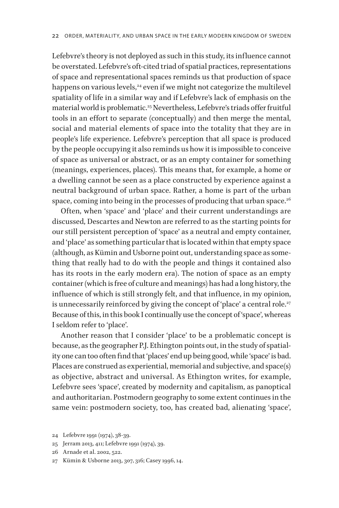Lefebvre's theory is not deployed as such in this study, its influence cannot be overstated. Lefebvre's oft-cited triad of spatial practices, representations of space and representational spaces reminds us that production of space happens on various levels,<sup>24</sup> even if we might not categorize the multilevel spatiality of life in a similar way and if Lefebvre's lack of emphasis on the material world is problematic.25 Nevertheless, Lefebvre's triads offer fruitful tools in an effort to separate (conceptually) and then merge the mental, social and material elements of space into the totality that they are in people's life experience. Lefebvre's perception that all space is produced by the people occupying it also reminds us how it is impossible to conceive of space as universal or abstract, or as an empty container for something (meanings, experiences, places). This means that, for example, a home or a dwelling cannot be seen as a place constructed by experience against a neutral background of urban space. Rather, a home is part of the urban space, coming into being in the processes of producing that urban space. $26$ 

Often, when 'space' and 'place' and their current understandings are discussed, Descartes and Newton are referred to as the starting points for our still persistent perception of 'space' as a neutral and empty container, and 'place' as something particular that is located within that empty space (although, as Kümin and Usborne point out, understanding space as something that really had to do with the people and things it contained also has its roots in the early modern era). The notion of space as an empty container (which is free of culture and meanings) has had a long history, the influence of which is still strongly felt, and that influence, in my opinion, is unnecessarily reinforced by giving the concept of 'place' a central role.<sup>27</sup> Because of this, in this book I continually use the concept of 'space', whereas I seldom refer to 'place'.

Another reason that I consider 'place' to be a problematic concept is because, as the geographer P.J. Ethington points out, in the study of spatiality one can too often find that 'places' end up being good, while 'space' is bad. Places are construed as experiential, memorial and subjective, and space(s) as objective, abstract and universal. As Ethington writes, for example, Lefebvre sees 'space', created by modernity and capitalism, as panoptical and authoritarian. Postmodern geography to some extent continues in the same vein: postmodern society, too, has created bad, alienating 'space',

<sup>24</sup> Lefebvre 1991 (1974), 38-39.

<sup>25</sup> Jerram 2013, 411; Lefebvre 1991 (1974), 39.

<sup>26</sup> Arnade et al. 2002, 522.

<sup>27</sup> Kümin & Usborne 2013, 307, 316; Casey 1996, 14.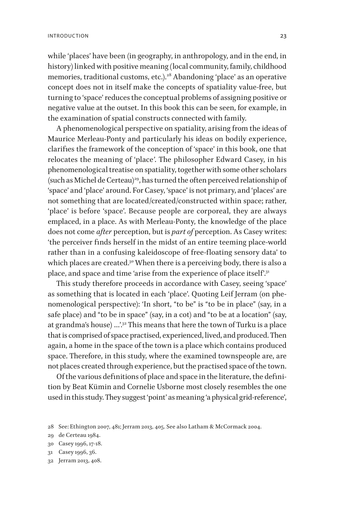while 'places' have been (in geography, in anthropology, and in the end, in history) linked with positive meaning (local community, family, childhood memories, traditional customs, etc.).<sup>28</sup> Abandoning 'place' as an operative concept does not in itself make the concepts of spatiality value-free, but turning to 'space' reduces the conceptual problems of assigning positive or negative value at the outset. In this book this can be seen, for example, in the examination of spatial constructs connected with family.

A phenomenological perspective on spatiality, arising from the ideas of Maurice Merleau-Ponty and particularly his ideas on bodily experience, clarifies the framework of the conception of 'space' in this book, one that relocates the meaning of 'place*'*. The philosopher Edward Casey, in his phenomenological treatise on spatiality, together with some other scholars (such as Michel de Certeau)<sup>29</sup>, has turned the often perceived relationship of 'space' and 'place' around. For Casey, 'space' is not primary, and 'places' are not something that are located/created/constructed within space; rather, 'place' is before 'space'. Because people are corporeal, they are always emplaced, in a place. As with Merleau-Ponty, the knowledge of the place does not come *after* perception, but is *part of* perception. As Casey writes: 'the perceiver finds herself in the midst of an entire teeming place-world rather than in a confusing kaleidoscope of free-floating sensory data' to which places are created.<sup>30</sup> When there is a perceiving body, there is also a place, and space and time 'arise from the experience of place itself'.<sup>31</sup>

This study therefore proceeds in accordance with Casey, seeing 'space' as something that is located in each 'place'. Quoting Leif Jerram (on phenomenological perspective): 'In short, "to be" is "to be in place" (say, in a safe place) and "to be in space" (say, in a cot) and "to be at a location" (say, at grandma's house) ...'.<sup>32</sup> This means that here the town of Turku is a place that is comprised of space practised, experienced, lived, and produced. Then again, a home in the space of the town is a place which contains produced space. Therefore, in this study, where the examined townspeople are, are not places created through experience, but the practised space of the town.

Of the various definitions of place and space in the literature, the definition by Beat Kümin and Cornelie Usborne most closely resembles the one used in this study. They suggest 'point' as meaning 'a physical grid-reference',

<sup>28</sup> See: Ethington 2007, 481; Jerram 2013, 405. See also Latham & McCormack 2004.

<sup>29</sup> de Certeau 1984.

<sup>30</sup> Casey 1996, 17-18.

<sup>31</sup> Casey 1996, 36.

<sup>32</sup> Jerram 2013, 408.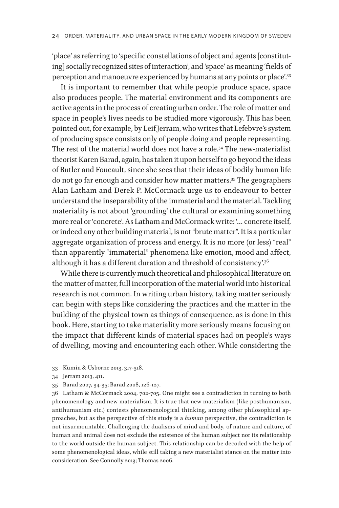'place' as referring to 'specific constellations of object and agents [constituting] socially recognized sites of interaction', and 'space' as meaning 'fields of perception and manoeuvre experienced by humans at any points or place'.33

It is important to remember that while people produce space, space also produces people. The material environment and its components are active agents in the process of creating urban order. The role of matter and space in people's lives needs to be studied more vigorously. This has been pointed out, for example, by Leif Jerram, who writes that Lefebvre's system of producing space consists only of people doing and people representing. The rest of the material world does not have a role.<sup>34</sup> The new-materialist theorist Karen Barad, again, has taken it upon herself to go beyond the ideas of Butler and Foucault, since she sees that their ideas of bodily human life do not go far enough and consider how matter matters.35 The geographers Alan Latham and Derek P. McCormack urge us to endeavour to better understand the inseparability of the immaterial and the material. Tackling materiality is not about 'grounding' the cultural or examining something more real or 'concrete'. As Latham and McCormack write: '… concrete itself, or indeed any other building material, is not "brute matter". It is a particular aggregate organization of process and energy. It is no more (or less) "real" than apparently "immaterial" phenomena like emotion, mood and affect, although it has a different duration and threshold of consistency'.36

While there is currently much theoretical and philosophical literature on the matter of matter, full incorporation of the material world into historical research is not common. In writing urban history, taking matter seriously can begin with steps like considering the practices and the matter in the building of the physical town as things of consequence, as is done in this book. Here, starting to take materiality more seriously means focusing on the impact that different kinds of material spaces had on people's ways of dwelling, moving and encountering each other. While considering the

- 33 Kümin & Usborne 2013, 317-318.
- 34 Jerram 2013, 411.
- 35 Barad 2007, 34-35; Barad 2008, 126-127.

36 Latham & McCormack 2004, 702-705. One might see a contradiction in turning to both phenomenology and new materialism. It is true that new materialism (like posthumanism, antihumanism etc.) contests phenomenological thinking, among other philosophical approaches, but as the perspective of this study is a *human* perspective, the contradiction is not insurmountable. Challenging the dualisms of mind and body, of nature and culture, of human and animal does not exclude the existence of the human subject nor its relationship to the world outside the human subject. This relationship can be decoded with the help of some phenomenological ideas, while still taking a new materialist stance on the matter into consideration. See Connolly 2013; Thomas 2006.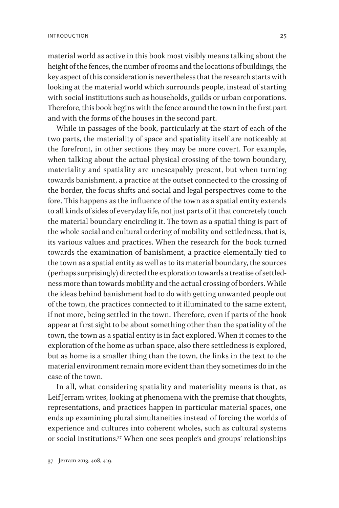material world as active in this book most visibly means talking about the height of the fences, the number of rooms and the locations of buildings, the key aspect of this consideration is nevertheless that the research starts with looking at the material world which surrounds people, instead of starting with social institutions such as households, guilds or urban corporations. Therefore, this book begins with the fence around the town in the first part and with the forms of the houses in the second part.

While in passages of the book, particularly at the start of each of the two parts, the materiality of space and spatiality itself are noticeably at the forefront, in other sections they may be more covert. For example, when talking about the actual physical crossing of the town boundary, materiality and spatiality are unescapably present, but when turning towards banishment, a practice at the outset connected to the crossing of the border, the focus shifts and social and legal perspectives come to the fore. This happens as the influence of the town as a spatial entity extends to all kinds of sides of everyday life, not just parts of it that concretely touch the material boundary encircling it. The town as a spatial thing is part of the whole social and cultural ordering of mobility and settledness, that is, its various values and practices. When the research for the book turned towards the examination of banishment, a practice elementally tied to the town as a spatial entity as well as to its material boundary, the sources (perhaps surprisingly) directed the exploration towards a treatise of settledness more than towards mobility and the actual crossing of borders. While the ideas behind banishment had to do with getting unwanted people out of the town, the practices connected to it illuminated to the same extent, if not more, being settled in the town. Therefore, even if parts of the book appear at first sight to be about something other than the spatiality of the town, the town as a spatial entity is in fact explored. When it comes to the exploration of the home as urban space, also there settledness is explored, but as home is a smaller thing than the town, the links in the text to the material environment remain more evident than they sometimes do in the case of the town.

In all, what considering spatiality and materiality means is that, as Leif Jerram writes, looking at phenomena with the premise that thoughts, representations, and practices happen in particular material spaces, one ends up examining plural simultaneities instead of forcing the worlds of experience and cultures into coherent wholes, such as cultural systems or social institutions.37 When one sees people's and groups' relationships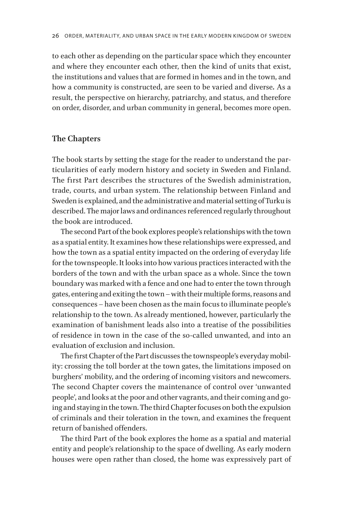<span id="page-24-0"></span>to each other as depending on the particular space which they encounter and where they encounter each other, then the kind of units that exist, the institutions and values that are formed in homes and in the town, and how a community is constructed, are seen to be varied and diverse*.* As a result, the perspective on hierarchy, patriarchy, and status, and therefore on order, disorder, and urban community in general, becomes more open.

#### **The Chapters**

The book starts by setting the stage for the reader to understand the particularities of early modern history and society in Sweden and Finland. The first Part describes the structures of the Swedish administration, trade, courts, and urban system. The relationship between Finland and Sweden is explained, and the administrative and material setting of Turku is described. The major laws and ordinances referenced regularly throughout the book are introduced.

The second Part of the book explores people's relationships with the town as a spatial entity. It examines how these relationships were expressed, and how the town as a spatial entity impacted on the ordering of everyday life for the townspeople. It looks into how various practices interacted with the borders of the town and with the urban space as a whole. Since the town boundary was marked with a fence and one had to enter the town through gates, entering and exiting the town – with their multiple forms, reasons and consequences – have been chosen as the main focus to illuminate people's relationship to the town. As already mentioned, however, particularly the examination of banishment leads also into a treatise of the possibilities of residence in town in the case of the so-called unwanted, and into an evaluation of exclusion and inclusion.

The first Chapter of the Part discusses the townspeople's everyday mobility: crossing the toll border at the town gates, the limitations imposed on burghers' mobility, and the ordering of incoming visitors and newcomers. The second Chapter covers the maintenance of control over 'unwanted people', and looks at the poor and other vagrants, and their coming and going and staying in the town. The third Chapter focuses on both the expulsion of criminals and their toleration in the town, and examines the frequent return of banished offenders.

The third Part of the book explores the home as a spatial and material entity and people's relationship to the space of dwelling. As early modern houses were open rather than closed, the home was expressively part of